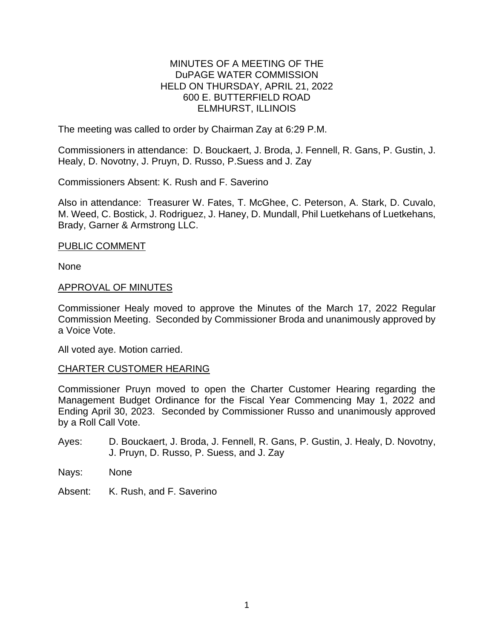#### MINUTES OF A MEETING OF THE DuPAGE WATER COMMISSION HELD ON THURSDAY, APRIL 21, 2022 600 E. BUTTERFIELD ROAD ELMHURST, ILLINOIS

The meeting was called to order by Chairman Zay at 6:29 P.M.

Commissioners in attendance: D. Bouckaert, J. Broda, J. Fennell, R. Gans, P. Gustin, J. Healy, D. Novotny, J. Pruyn, D. Russo, P.Suess and J. Zay

Commissioners Absent: K. Rush and F. Saverino

Also in attendance: Treasurer W. Fates, T. McGhee, C. Peterson, A. Stark, D. Cuvalo, M. Weed, C. Bostick, J. Rodriguez, J. Haney, D. Mundall, Phil Luetkehans of Luetkehans, Brady, Garner & Armstrong LLC.

#### PUBLIC COMMENT

None

#### APPROVAL OF MINUTES

Commissioner Healy moved to approve the Minutes of the March 17, 2022 Regular Commission Meeting. Seconded by Commissioner Broda and unanimously approved by a Voice Vote.

All voted aye. Motion carried.

# CHARTER CUSTOMER HEARING

Commissioner Pruyn moved to open the Charter Customer Hearing regarding the Management Budget Ordinance for the Fiscal Year Commencing May 1, 2022 and Ending April 30, 2023. Seconded by Commissioner Russo and unanimously approved by a Roll Call Vote.

- Ayes: D. Bouckaert, J. Broda, J. Fennell, R. Gans, P. Gustin, J. Healy, D. Novotny, J. Pruyn, D. Russo, P. Suess, and J. Zay
- Nays: None
- Absent: K. Rush, and F. Saverino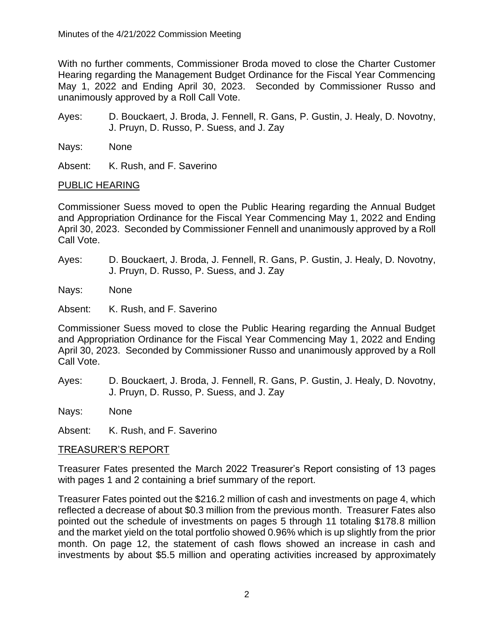With no further comments, Commissioner Broda moved to close the Charter Customer Hearing regarding the Management Budget Ordinance for the Fiscal Year Commencing May 1, 2022 and Ending April 30, 2023. Seconded by Commissioner Russo and unanimously approved by a Roll Call Vote.

- Ayes: D. Bouckaert, J. Broda, J. Fennell, R. Gans, P. Gustin, J. Healy, D. Novotny, J. Pruyn, D. Russo, P. Suess, and J. Zay
- Nays: None

Absent: K. Rush, and F. Saverino

# PUBLIC HEARING

Commissioner Suess moved to open the Public Hearing regarding the Annual Budget and Appropriation Ordinance for the Fiscal Year Commencing May 1, 2022 and Ending April 30, 2023. Seconded by Commissioner Fennell and unanimously approved by a Roll Call Vote.

Ayes: D. Bouckaert, J. Broda, J. Fennell, R. Gans, P. Gustin, J. Healy, D. Novotny, J. Pruyn, D. Russo, P. Suess, and J. Zay

Nays: None

Absent: K. Rush, and F. Saverino

Commissioner Suess moved to close the Public Hearing regarding the Annual Budget and Appropriation Ordinance for the Fiscal Year Commencing May 1, 2022 and Ending April 30, 2023. Seconded by Commissioner Russo and unanimously approved by a Roll Call Vote.

Ayes: D. Bouckaert, J. Broda, J. Fennell, R. Gans, P. Gustin, J. Healy, D. Novotny, J. Pruyn, D. Russo, P. Suess, and J. Zay

Nays: None

Absent: K. Rush, and F. Saverino

# TREASURER'S REPORT

Treasurer Fates presented the March 2022 Treasurer's Report consisting of 13 pages with pages 1 and 2 containing a brief summary of the report.

Treasurer Fates pointed out the \$216.2 million of cash and investments on page 4, which reflected a decrease of about \$0.3 million from the previous month. Treasurer Fates also pointed out the schedule of investments on pages 5 through 11 totaling \$178.8 million and the market yield on the total portfolio showed 0.96% which is up slightly from the prior month. On page 12, the statement of cash flows showed an increase in cash and investments by about \$5.5 million and operating activities increased by approximately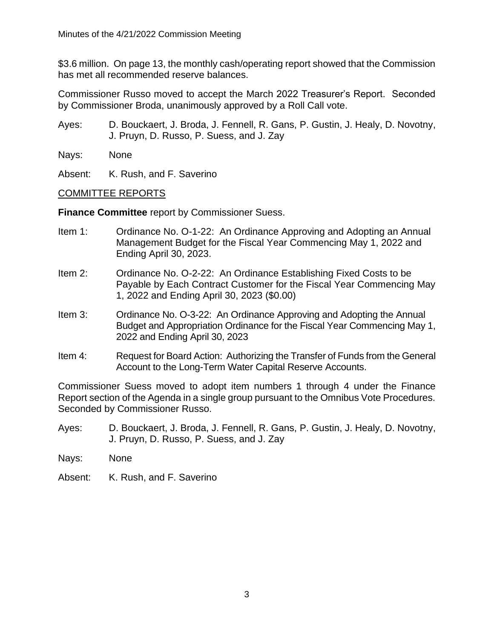\$3.6 million. On page 13, the monthly cash/operating report showed that the Commission has met all recommended reserve balances.

Commissioner Russo moved to accept the March 2022 Treasurer's Report. Seconded by Commissioner Broda, unanimously approved by a Roll Call vote.

Ayes: D. Bouckaert, J. Broda, J. Fennell, R. Gans, P. Gustin, J. Healy, D. Novotny, J. Pruyn, D. Russo, P. Suess, and J. Zay

Nays: None

Absent: K. Rush, and F. Saverino

# COMMITTEE REPORTS

**Finance Committee** report by Commissioner Suess.

- Item 1: Ordinance No. O-1-22: An Ordinance Approving and Adopting an Annual Management Budget for the Fiscal Year Commencing May 1, 2022 and Ending April 30, 2023.
- Item 2: Ordinance No. O-2-22: An Ordinance Establishing Fixed Costs to be Payable by Each Contract Customer for the Fiscal Year Commencing May 1, 2022 and Ending April 30, 2023 (\$0.00)
- Item 3: Ordinance No. O-3-22: An Ordinance Approving and Adopting the Annual Budget and Appropriation Ordinance for the Fiscal Year Commencing May 1, 2022 and Ending April 30, 2023
- Item 4: Request for Board Action: Authorizing the Transfer of Funds from the General Account to the Long-Term Water Capital Reserve Accounts.

Commissioner Suess moved to adopt item numbers 1 through 4 under the Finance Report section of the Agenda in a single group pursuant to the Omnibus Vote Procedures. Seconded by Commissioner Russo.

- Ayes: D. Bouckaert, J. Broda, J. Fennell, R. Gans, P. Gustin, J. Healy, D. Novotny, J. Pruyn, D. Russo, P. Suess, and J. Zay
- Nays: None
- Absent: K. Rush, and F. Saverino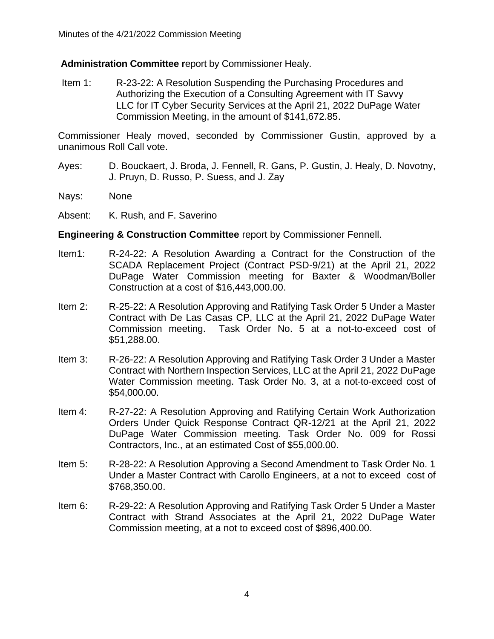**Administration Committee r**eport by Commissioner Healy.

Item 1: R-23-22: A Resolution Suspending the Purchasing Procedures and Authorizing the Execution of a Consulting Agreement with IT Savvy LLC for IT Cyber Security Services at the April 21, 2022 DuPage Water Commission Meeting, in the amount of \$141,672.85.

Commissioner Healy moved, seconded by Commissioner Gustin, approved by a unanimous Roll Call vote.

- Ayes: D. Bouckaert, J. Broda, J. Fennell, R. Gans, P. Gustin, J. Healy, D. Novotny, J. Pruyn, D. Russo, P. Suess, and J. Zay
- Nays: None
- Absent: K. Rush, and F. Saverino

# **Engineering & Construction Committee** report by Commissioner Fennell.

- Item1: R-24-22: A Resolution Awarding a Contract for the Construction of the SCADA Replacement Project (Contract PSD-9/21) at the April 21, 2022 DuPage Water Commission meeting for Baxter & Woodman/Boller Construction at a cost of \$16,443,000.00.
- Item 2: R-25-22: A Resolution Approving and Ratifying Task Order 5 Under a Master Contract with De Las Casas CP, LLC at the April 21, 2022 DuPage Water Commission meeting. Task Order No. 5 at a not-to-exceed cost of \$51,288.00.
- Item 3: R-26-22: A Resolution Approving and Ratifying Task Order 3 Under a Master Contract with Northern Inspection Services, LLC at the April 21, 2022 DuPage Water Commission meeting. Task Order No. 3, at a not-to-exceed cost of \$54,000.00.
- Item 4: R-27-22: A Resolution Approving and Ratifying Certain Work Authorization Orders Under Quick Response Contract QR-12/21 at the April 21, 2022 DuPage Water Commission meeting. Task Order No. 009 for Rossi Contractors, Inc., at an estimated Cost of \$55,000.00.
- Item 5: R-28-22: A Resolution Approving a Second Amendment to Task Order No. 1 Under a Master Contract with Carollo Engineers, at a not to exceed cost of \$768,350.00.
- Item 6: R-29-22: A Resolution Approving and Ratifying Task Order 5 Under a Master Contract with Strand Associates at the April 21, 2022 DuPage Water Commission meeting, at a not to exceed cost of \$896,400.00.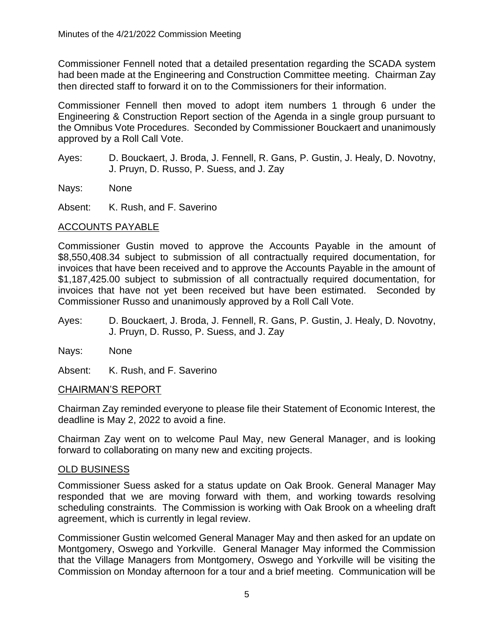Commissioner Fennell noted that a detailed presentation regarding the SCADA system had been made at the Engineering and Construction Committee meeting. Chairman Zay then directed staff to forward it on to the Commissioners for their information.

Commissioner Fennell then moved to adopt item numbers 1 through 6 under the Engineering & Construction Report section of the Agenda in a single group pursuant to the Omnibus Vote Procedures. Seconded by Commissioner Bouckaert and unanimously approved by a Roll Call Vote.

Ayes: D. Bouckaert, J. Broda, J. Fennell, R. Gans, P. Gustin, J. Healy, D. Novotny, J. Pruyn, D. Russo, P. Suess, and J. Zay

Nays: None

Absent: K. Rush, and F. Saverino

#### ACCOUNTS PAYABLE

Commissioner Gustin moved to approve the Accounts Payable in the amount of \$8,550,408.34 subject to submission of all contractually required documentation, for invoices that have been received and to approve the Accounts Payable in the amount of \$1,187,425.00 subject to submission of all contractually required documentation, for invoices that have not yet been received but have been estimated. Seconded by Commissioner Russo and unanimously approved by a Roll Call Vote.

- Ayes: D. Bouckaert, J. Broda, J. Fennell, R. Gans, P. Gustin, J. Healy, D. Novotny, J. Pruyn, D. Russo, P. Suess, and J. Zay
- Nays: None

Absent: K. Rush, and F. Saverino

# CHAIRMAN'S REPORT

Chairman Zay reminded everyone to please file their Statement of Economic Interest, the deadline is May 2, 2022 to avoid a fine.

Chairman Zay went on to welcome Paul May, new General Manager, and is looking forward to collaborating on many new and exciting projects.

# OLD BUSINESS

Commissioner Suess asked for a status update on Oak Brook. General Manager May responded that we are moving forward with them, and working towards resolving scheduling constraints. The Commission is working with Oak Brook on a wheeling draft agreement, which is currently in legal review.

Commissioner Gustin welcomed General Manager May and then asked for an update on Montgomery, Oswego and Yorkville. General Manager May informed the Commission that the Village Managers from Montgomery, Oswego and Yorkville will be visiting the Commission on Monday afternoon for a tour and a brief meeting. Communication will be